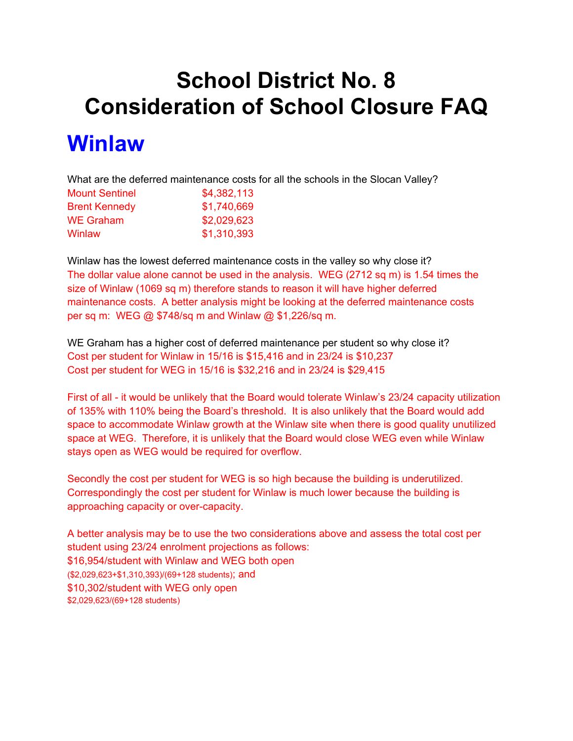## **School District No. 8 Consideration of School Closure FAQ**

### **Winlaw**

What are the deferred maintenance costs for all the schools in the Slocan Valley?

| <b>Mount Sentinel</b> | \$4,382,113 |
|-----------------------|-------------|
| <b>Brent Kennedy</b>  | \$1,740,669 |
| <b>WE Graham</b>      | \$2,029,623 |
| Winlaw                | \$1,310,393 |

Winlaw has the lowest deferred maintenance costs in the valley so why close it? The dollar value alone cannot be used in the analysis. WEG (2712 sq m) is 1.54 times the size of Winlaw (1069 sq m) therefore stands to reason it will have higher deferred maintenance costs. A better analysis might be looking at the deferred maintenance costs per sq m: WEG @ \$748/sq m and Winlaw @ \$1,226/sq m.

WE Graham has a higher cost of deferred maintenance per student so why close it? Cost per student for Winlaw in 15/16 is \$15,416 and in 23/24 is \$10,237 Cost per student for WEG in 15/16 is \$32,216 and in 23/24 is \$29,415

First of all - it would be unlikely that the Board would tolerate Winlaw's 23/24 capacity utilization of 135% with 110% being the Board's threshold. It is also unlikely that the Board would add space to accommodate Winlaw growth at the Winlaw site when there is good quality unutilized space at WEG. Therefore, it is unlikely that the Board would close WEG even while Winlaw stays open as WEG would be required for overflow.

Secondly the cost per student for WEG is so high because the building is underutilized. Correspondingly the cost per student for Winlaw is much lower because the building is approaching capacity or over-capacity.

A better analysis may be to use the two considerations above and assess the total cost per student using 23/24 enrolment projections as follows: \$16,954/student with Winlaw and WEG both open (\$2,029,623+\$1,310,393)/(69+128 students); and \$10,302/student with WEG only open \$2,029,623/(69+128 students)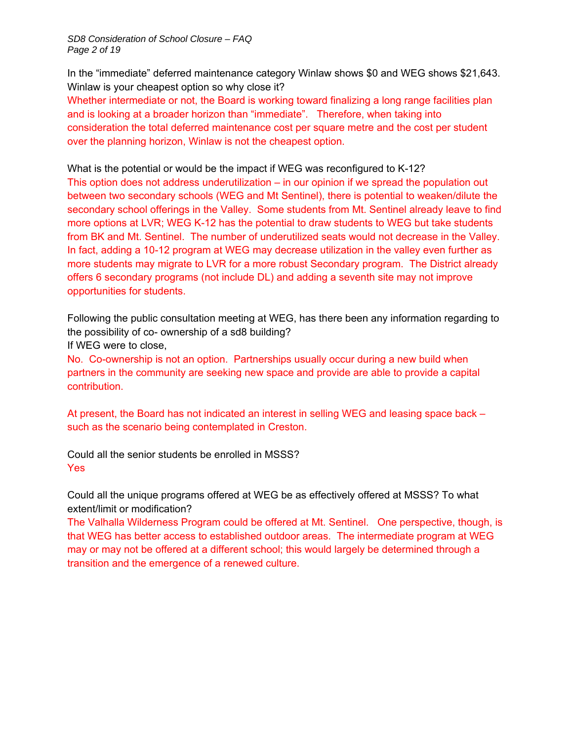*SD8 Consideration of School Closure – FAQ Page 2 of 19* 

In the "immediate" deferred maintenance category Winlaw shows \$0 and WEG shows \$21,643. Winlaw is your cheapest option so why close it?

Whether intermediate or not, the Board is working toward finalizing a long range facilities plan and is looking at a broader horizon than "immediate". Therefore, when taking into consideration the total deferred maintenance cost per square metre and the cost per student over the planning horizon, Winlaw is not the cheapest option.

What is the potential or would be the impact if WEG was reconfigured to K-12?

This option does not address underutilization – in our opinion if we spread the population out between two secondary schools (WEG and Mt Sentinel), there is potential to weaken/dilute the secondary school offerings in the Valley. Some students from Mt. Sentinel already leave to find more options at LVR; WEG K-12 has the potential to draw students to WEG but take students from BK and Mt. Sentinel. The number of underutilized seats would not decrease in the Valley. In fact, adding a 10-12 program at WEG may decrease utilization in the valley even further as more students may migrate to LVR for a more robust Secondary program. The District already offers 6 secondary programs (not include DL) and adding a seventh site may not improve opportunities for students.

Following the public consultation meeting at WEG, has there been any information regarding to the possibility of co- ownership of a sd8 building?

If WEG were to close,

No. Co-ownership is not an option. Partnerships usually occur during a new build when partners in the community are seeking new space and provide are able to provide a capital contribution.

At present, the Board has not indicated an interest in selling WEG and leasing space back – such as the scenario being contemplated in Creston.

Could all the senior students be enrolled in MSSS? Yes

Could all the unique programs offered at WEG be as effectively offered at MSSS? To what extent/limit or modification?

The Valhalla Wilderness Program could be offered at Mt. Sentinel. One perspective, though, is that WEG has better access to established outdoor areas. The intermediate program at WEG may or may not be offered at a different school; this would largely be determined through a transition and the emergence of a renewed culture.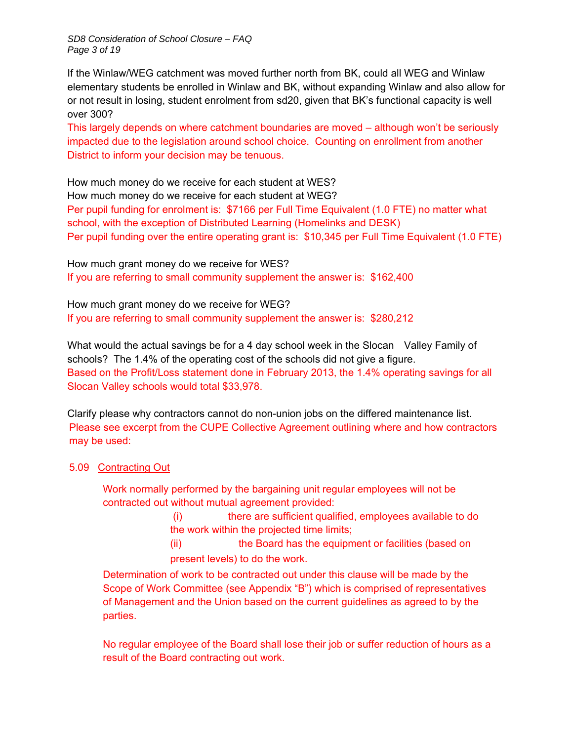*SD8 Consideration of School Closure – FAQ Page 3 of 19* 

If the Winlaw/WEG catchment was moved further north from BK, could all WEG and Winlaw elementary students be enrolled in Winlaw and BK, without expanding Winlaw and also allow for or not result in losing, student enrolment from sd20, given that BK's functional capacity is well over 300?

This largely depends on where catchment boundaries are moved – although won't be seriously impacted due to the legislation around school choice. Counting on enrollment from another District to inform your decision may be tenuous.

How much money do we receive for each student at WES? How much money do we receive for each student at WEG? Per pupil funding for enrolment is: \$7166 per Full Time Equivalent (1.0 FTE) no matter what school, with the exception of Distributed Learning (Homelinks and DESK) Per pupil funding over the entire operating grant is: \$10,345 per Full Time Equivalent (1.0 FTE)

How much grant money do we receive for WES? If you are referring to small community supplement the answer is: \$162,400

How much grant money do we receive for WEG? If you are referring to small community supplement the answer is: \$280,212

What would the actual savings be for a 4 day school week in the Slocan Valley Family of schools? The 1.4% of the operating cost of the schools did not give a figure. Based on the Profit/Loss statement done in February 2013, the 1.4% operating savings for all Slocan Valley schools would total \$33,978.

Clarify please why contractors cannot do non-union jobs on the differed maintenance list. Please see excerpt from the CUPE Collective Agreement outlining where and how contractors may be used:

5.09 Contracting Out

Work normally performed by the bargaining unit regular employees will not be contracted out without mutual agreement provided:

> (i) there are sufficient qualified, employees available to do the work within the projected time limits;

(ii) the Board has the equipment or facilities (based on present levels) to do the work.

Determination of work to be contracted out under this clause will be made by the Scope of Work Committee (see Appendix "B") which is comprised of representatives of Management and the Union based on the current guidelines as agreed to by the parties.

No regular employee of the Board shall lose their job or suffer reduction of hours as a result of the Board contracting out work.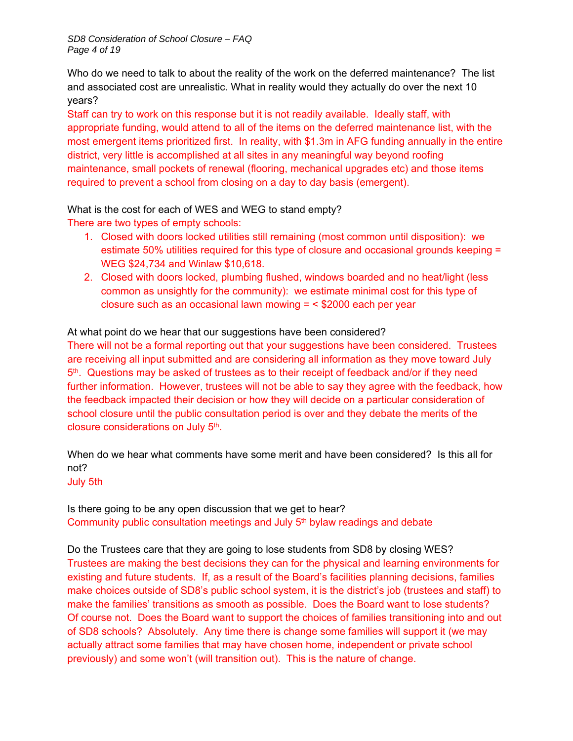Who do we need to talk to about the reality of the work on the deferred maintenance? The list and associated cost are unrealistic. What in reality would they actually do over the next 10 years?

Staff can try to work on this response but it is not readily available. Ideally staff, with appropriate funding, would attend to all of the items on the deferred maintenance list, with the most emergent items prioritized first. In reality, with \$1.3m in AFG funding annually in the entire district, very little is accomplished at all sites in any meaningful way beyond roofing maintenance, small pockets of renewal (flooring, mechanical upgrades etc) and those items required to prevent a school from closing on a day to day basis (emergent).

#### What is the cost for each of WES and WEG to stand empty?

There are two types of empty schools:

- 1. Closed with doors locked utilities still remaining (most common until disposition): we estimate 50% utilities required for this type of closure and occasional grounds keeping = WEG \$24,734 and Winlaw \$10,618.
- 2. Closed with doors locked, plumbing flushed, windows boarded and no heat/light (less common as unsightly for the community): we estimate minimal cost for this type of closure such as an occasional lawn mowing = < \$2000 each per year

#### At what point do we hear that our suggestions have been considered?

There will not be a formal reporting out that your suggestions have been considered. Trustees are receiving all input submitted and are considering all information as they move toward July 5th. Questions may be asked of trustees as to their receipt of feedback and/or if they need further information. However, trustees will not be able to say they agree with the feedback, how the feedback impacted their decision or how they will decide on a particular consideration of school closure until the public consultation period is over and they debate the merits of the closure considerations on July 5th.

When do we hear what comments have some merit and have been considered? Is this all for not?

#### July 5th

Is there going to be any open discussion that we get to hear? Community public consultation meetings and July 5<sup>th</sup> bylaw readings and debate

Do the Trustees care that they are going to lose students from SD8 by closing WES? Trustees are making the best decisions they can for the physical and learning environments for existing and future students. If, as a result of the Board's facilities planning decisions, families make choices outside of SD8's public school system, it is the district's job (trustees and staff) to make the families' transitions as smooth as possible. Does the Board want to lose students? Of course not. Does the Board want to support the choices of families transitioning into and out of SD8 schools? Absolutely. Any time there is change some families will support it (we may actually attract some families that may have chosen home, independent or private school previously) and some won't (will transition out). This is the nature of change.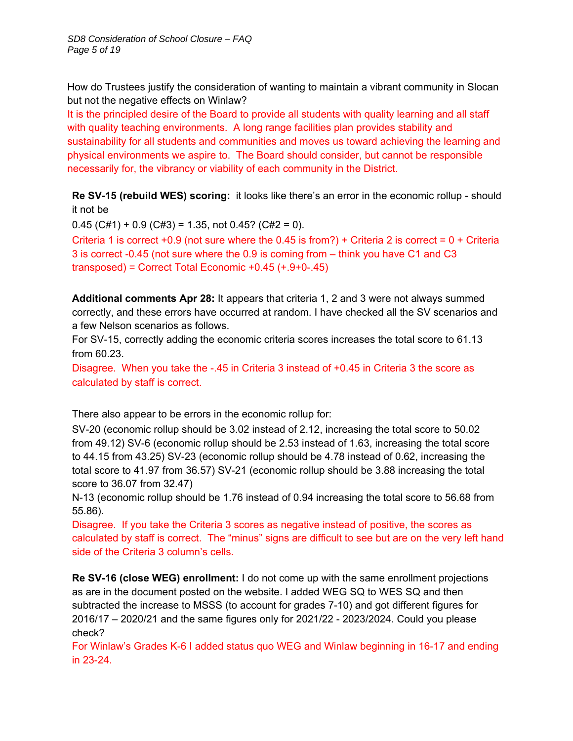How do Trustees justify the consideration of wanting to maintain a vibrant community in Slocan but not the negative effects on Winlaw?

It is the principled desire of the Board to provide all students with quality learning and all staff with quality teaching environments. A long range facilities plan provides stability and sustainability for all students and communities and moves us toward achieving the learning and physical environments we aspire to. The Board should consider, but cannot be responsible necessarily for, the vibrancy or viability of each community in the District.

**Re SV-15 (rebuild WES) scoring:** it looks like there's an error in the economic rollup - should it not be

 $0.45$  (C#1) + 0.9 (C#3) = 1.35, not 0.45? (C#2 = 0).

Criteria 1 is correct +0.9 (not sure where the 0.45 is from?) + Criteria 2 is correct =  $0 +$  Criteria 3 is correct -0.45 (not sure where the 0.9 is coming from – think you have C1 and C3 transposed) = Correct Total Economic +0.45 (+.9+0-.45)

**Additional comments Apr 28:** It appears that criteria 1, 2 and 3 were not always summed correctly, and these errors have occurred at random. I have checked all the SV scenarios and a few Nelson scenarios as follows.

For SV-15, correctly adding the economic criteria scores increases the total score to 61.13 from 60.23.

Disagree. When you take the -.45 in Criteria 3 instead of +0.45 in Criteria 3 the score as calculated by staff is correct.

There also appear to be errors in the economic rollup for:

SV-20 (economic rollup should be 3.02 instead of 2.12, increasing the total score to 50.02 from 49.12) SV-6 (economic rollup should be 2.53 instead of 1.63, increasing the total score to 44.15 from 43.25) SV-23 (economic rollup should be 4.78 instead of 0.62, increasing the total score to 41.97 from 36.57) SV-21 (economic rollup should be 3.88 increasing the total score to 36.07 from 32.47)

N-13 (economic rollup should be 1.76 instead of 0.94 increasing the total score to 56.68 from 55.86).

Disagree. If you take the Criteria 3 scores as negative instead of positive, the scores as calculated by staff is correct. The "minus" signs are difficult to see but are on the very left hand side of the Criteria 3 column's cells.

**Re SV-16 (close WEG) enrollment:** I do not come up with the same enrollment projections as are in the document posted on the website. I added WEG SQ to WES SQ and then subtracted the increase to MSSS (to account for grades 7-10) and got different figures for 2016/17 – 2020/21 and the same figures only for 2021/22 - 2023/2024. Could you please check?

For Winlaw's Grades K-6 I added status quo WEG and Winlaw beginning in 16-17 and ending in 23-24.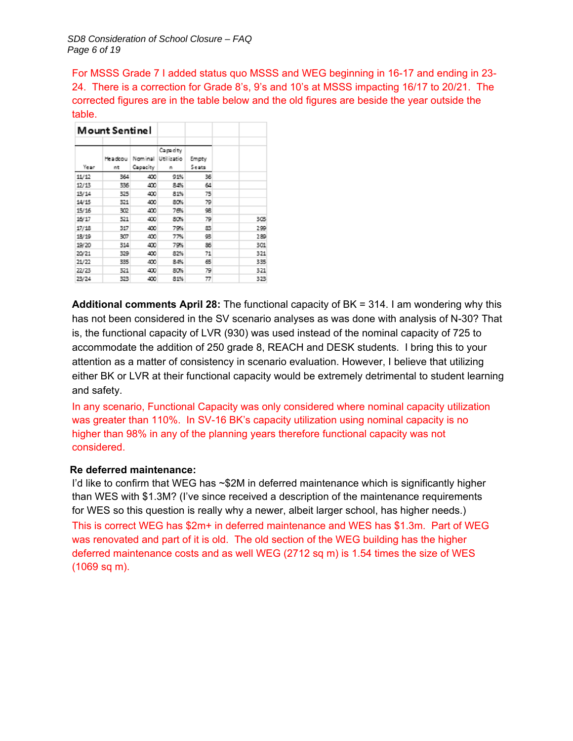For MSSS Grade 7 I added status quo MSSS and WEG beginning in 16-17 and ending in 23- 24. There is a correction for Grade 8's, 9's and 10's at MSSS impacting 16/17 to 20/21. The corrected figures are in the table below and the old figures are beside the year outside the table.

|       | Mount Sentinel |          |                    |       |     |  |
|-------|----------------|----------|--------------------|-------|-----|--|
|       |                |          | Capacity           |       |     |  |
|       | Headcou        |          | Nominal Utilizatio | Empty |     |  |
| Ye ar | nt             | Capacity | n                  | Seats |     |  |
| 11/12 | 364            | 400      | 91%                | 36    |     |  |
| 12/13 | 336            | 400      | 84%                | 64    |     |  |
| 13/14 | 325            | 400      | 81%                | 75    |     |  |
| 14/15 | 321            | 400      | 80%                | 79    |     |  |
| 15/16 | 302            | 400      | 76%                | 98    |     |  |
| 16/17 | 321            | 400      | 80%                | 79    | 308 |  |
| 17/18 | 317            | 400      | 79%                | 83    | 299 |  |
| 18/19 | 307            | 400      | 77%                | 98    | 289 |  |
| 19/20 | 314            | 400      | 79%                | 86    | 301 |  |
| 20/21 | 329            | 400      | 82%                | 71    | 321 |  |
| 21/22 | 335            | 400      | 84%                | 65    | 335 |  |
| 22/23 | 321            | 400      | 80%                | 79    | 321 |  |
| 23/24 | 323            | 400      | 81%                | 77    | 323 |  |

**Additional comments April 28:** The functional capacity of BK = 314. I am wondering why this has not been considered in the SV scenario analyses as was done with analysis of N-30? That is, the functional capacity of LVR (930) was used instead of the nominal capacity of 725 to accommodate the addition of 250 grade 8, REACH and DESK students. I bring this to your attention as a matter of consistency in scenario evaluation. However, I believe that utilizing either BK or LVR at their functional capacity would be extremely detrimental to student learning and safety.

In any scenario, Functional Capacity was only considered where nominal capacity utilization was greater than 110%. In SV-16 BK's capacity utilization using nominal capacity is no higher than 98% in any of the planning years therefore functional capacity was not considered.

#### **Re deferred maintenance:**

I'd like to confirm that WEG has ~\$2M in deferred maintenance which is significantly higher than WES with \$1.3M? (I've since received a description of the maintenance requirements for WES so this question is really why a newer, albeit larger school, has higher needs.) This is correct WEG has \$2m+ in deferred maintenance and WES has \$1.3m. Part of WEG was renovated and part of it is old. The old section of the WEG building has the higher deferred maintenance costs and as well WEG (2712 sq m) is 1.54 times the size of WES (1069 sq m).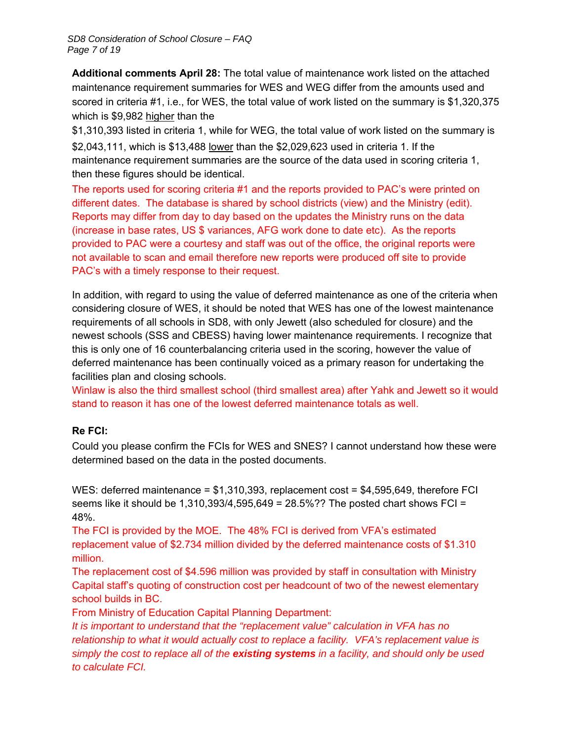**Additional comments April 28:** The total value of maintenance work listed on the attached maintenance requirement summaries for WES and WEG differ from the amounts used and scored in criteria #1, i.e., for WES, the total value of work listed on the summary is \$1,320,375 which is \$9,982 higher than the

\$1,310,393 listed in criteria 1, while for WEG, the total value of work listed on the summary is \$2,043,111, which is \$13,488 lower than the \$2,029,623 used in criteria 1. If the maintenance requirement summaries are the source of the data used in scoring criteria 1, then these figures should be identical.

The reports used for scoring criteria #1 and the reports provided to PAC's were printed on different dates. The database is shared by school districts (view) and the Ministry (edit). Reports may differ from day to day based on the updates the Ministry runs on the data (increase in base rates, US \$ variances, AFG work done to date etc). As the reports provided to PAC were a courtesy and staff was out of the office, the original reports were not available to scan and email therefore new reports were produced off site to provide PAC's with a timely response to their request.

In addition, with regard to using the value of deferred maintenance as one of the criteria when considering closure of WES, it should be noted that WES has one of the lowest maintenance requirements of all schools in SD8, with only Jewett (also scheduled for closure) and the newest schools (SSS and CBESS) having lower maintenance requirements. I recognize that this is only one of 16 counterbalancing criteria used in the scoring, however the value of deferred maintenance has been continually voiced as a primary reason for undertaking the facilities plan and closing schools.

Winlaw is also the third smallest school (third smallest area) after Yahk and Jewett so it would stand to reason it has one of the lowest deferred maintenance totals as well.

#### **Re FCI:**

Could you please confirm the FCIs for WES and SNES? I cannot understand how these were determined based on the data in the posted documents.

WES: deferred maintenance =  $$1,310,393$ , replacement cost =  $$4,595,649$ , therefore FCI seems like it should be 1,310,393/4,595,649 = 28.5%?? The posted chart shows FCI = 48%.

The FCI is provided by the MOE. The 48% FCI is derived from VFA's estimated replacement value of \$2.734 million divided by the deferred maintenance costs of \$1.310 million.

The replacement cost of \$4.596 million was provided by staff in consultation with Ministry Capital staff's quoting of construction cost per headcount of two of the newest elementary school builds in BC.

From Ministry of Education Capital Planning Department:

*It is important to understand that the "replacement value" calculation in VFA has no relationship to what it would actually cost to replace a facility. VFA's replacement value is simply the cost to replace all of the existing systems in a facility, and should only be used to calculate FCI.*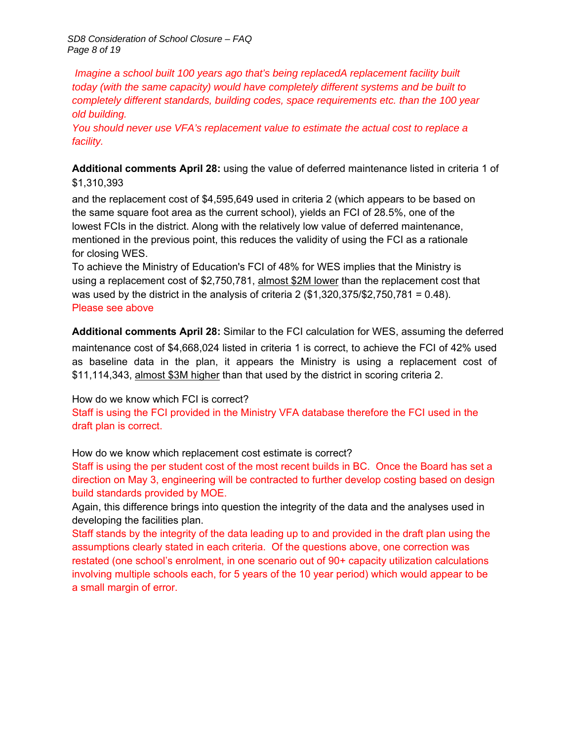*SD8 Consideration of School Closure – FAQ Page 8 of 19* 

 *Imagine a school built 100 years ago that's being replacedA replacement facility built today (with the same capacity) would have completely different systems and be built to completely different standards, building codes, space requirements etc. than the 100 year old building.* 

*You should never use VFA's replacement value to estimate the actual cost to replace a facility.*

**Additional comments April 28:** using the value of deferred maintenance listed in criteria 1 of \$1,310,393

and the replacement cost of \$4,595,649 used in criteria 2 (which appears to be based on the same square foot area as the current school), yields an FCI of 28.5%, one of the lowest FCIs in the district. Along with the relatively low value of deferred maintenance, mentioned in the previous point, this reduces the validity of using the FCI as a rationale for closing WES.

To achieve the Ministry of Education's FCI of 48% for WES implies that the Ministry is using a replacement cost of \$2,750,781, almost \$2M lower than the replacement cost that was used by the district in the analysis of criteria 2  $(\$1,320,375/\$2,750,781 = 0.48$ ). Please see above

**Additional comments April 28:** Similar to the FCI calculation for WES, assuming the deferred maintenance cost of \$4,668,024 listed in criteria 1 is correct, to achieve the FCI of 42% used as baseline data in the plan, it appears the Ministry is using a replacement cost of \$11,114,343, almost \$3M higher than that used by the district in scoring criteria 2.

How do we know which FCI is correct?

Staff is using the FCI provided in the Ministry VFA database therefore the FCI used in the draft plan is correct.

How do we know which replacement cost estimate is correct?

Staff is using the per student cost of the most recent builds in BC. Once the Board has set a direction on May 3, engineering will be contracted to further develop costing based on design build standards provided by MOE.

Again, this difference brings into question the integrity of the data and the analyses used in developing the facilities plan.

Staff stands by the integrity of the data leading up to and provided in the draft plan using the assumptions clearly stated in each criteria. Of the questions above, one correction was restated (one school's enrolment, in one scenario out of 90+ capacity utilization calculations involving multiple schools each, for 5 years of the 10 year period) which would appear to be a small margin of error.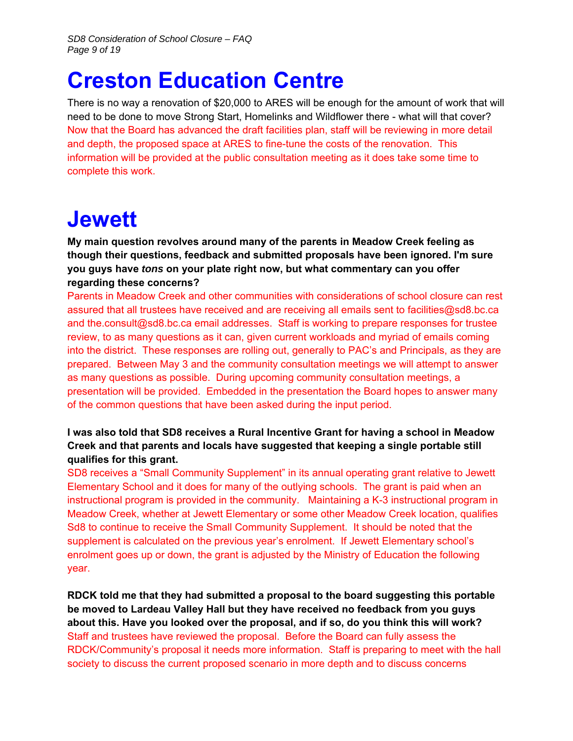### **Creston Education Centre**

There is no way a renovation of \$20,000 to ARES will be enough for the amount of work that will need to be done to move Strong Start, Homelinks and Wildflower there - what will that cover? Now that the Board has advanced the draft facilities plan, staff will be reviewing in more detail and depth, the proposed space at ARES to fine-tune the costs of the renovation. This information will be provided at the public consultation meeting as it does take some time to complete this work.

### **Jewett**

**My main question revolves around many of the parents in Meadow Creek feeling as though their questions, feedback and submitted proposals have been ignored. I'm sure you guys have** *tons* **on your plate right now, but what commentary can you offer regarding these concerns?**

Parents in Meadow Creek and other communities with considerations of school closure can rest assured that all trustees have received and are receiving all emails sent to facilities@sd8.bc.ca and the.consult@sd8.bc.ca email addresses. Staff is working to prepare responses for trustee review, to as many questions as it can, given current workloads and myriad of emails coming into the district. These responses are rolling out, generally to PAC's and Principals, as they are prepared. Between May 3 and the community consultation meetings we will attempt to answer as many questions as possible. During upcoming community consultation meetings, a presentation will be provided. Embedded in the presentation the Board hopes to answer many of the common questions that have been asked during the input period.

#### **I was also told that SD8 receives a Rural Incentive Grant for having a school in Meadow Creek and that parents and locals have suggested that keeping a single portable still qualifies for this grant.**

SD8 receives a "Small Community Supplement" in its annual operating grant relative to Jewett Elementary School and it does for many of the outlying schools. The grant is paid when an instructional program is provided in the community. Maintaining a K-3 instructional program in Meadow Creek, whether at Jewett Elementary or some other Meadow Creek location, qualifies Sd8 to continue to receive the Small Community Supplement. It should be noted that the supplement is calculated on the previous year's enrolment. If Jewett Elementary school's enrolment goes up or down, the grant is adjusted by the Ministry of Education the following year.

**RDCK told me that they had submitted a proposal to the board suggesting this portable be moved to Lardeau Valley Hall but they have received no feedback from you guys about this. Have you looked over the proposal, and if so, do you think this will work?** Staff and trustees have reviewed the proposal. Before the Board can fully assess the RDCK/Community's proposal it needs more information. Staff is preparing to meet with the hall society to discuss the current proposed scenario in more depth and to discuss concerns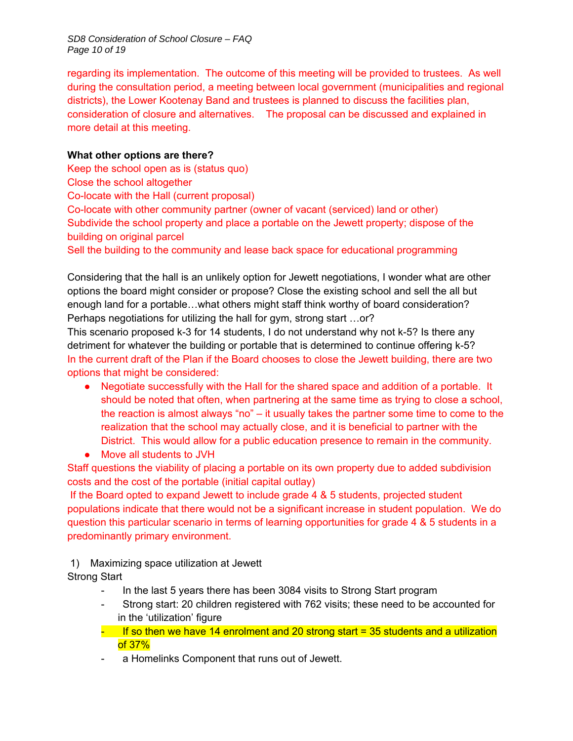*SD8 Consideration of School Closure – FAQ Page 10 of 19* 

regarding its implementation. The outcome of this meeting will be provided to trustees. As well during the consultation period, a meeting between local government (municipalities and regional districts), the Lower Kootenay Band and trustees is planned to discuss the facilities plan, consideration of closure and alternatives. The proposal can be discussed and explained in more detail at this meeting.

#### **What other options are there?**

Keep the school open as is (status quo)

Close the school altogether

Co-locate with the Hall (current proposal)

Co-locate with other community partner (owner of vacant (serviced) land or other) Subdivide the school property and place a portable on the Jewett property; dispose of the building on original parcel

Sell the building to the community and lease back space for educational programming

Considering that the hall is an unlikely option for Jewett negotiations, I wonder what are other options the board might consider or propose? Close the existing school and sell the all but enough land for a portable…what others might staff think worthy of board consideration? Perhaps negotiations for utilizing the hall for gym, strong start …or?

This scenario proposed k-3 for 14 students, I do not understand why not k-5? Is there any detriment for whatever the building or portable that is determined to continue offering k-5? In the current draft of the Plan if the Board chooses to close the Jewett building, there are two options that might be considered:

- Negotiate successfully with the Hall for the shared space and addition of a portable. It should be noted that often, when partnering at the same time as trying to close a school, the reaction is almost always "no" – it usually takes the partner some time to come to the realization that the school may actually close, and it is beneficial to partner with the District. This would allow for a public education presence to remain in the community.
- Move all students to JVH

Staff questions the viability of placing a portable on its own property due to added subdivision costs and the cost of the portable (initial capital outlay)

 If the Board opted to expand Jewett to include grade 4 & 5 students, projected student populations indicate that there would not be a significant increase in student population. We do question this particular scenario in terms of learning opportunities for grade 4 & 5 students in a predominantly primary environment.

1) Maximizing space utilization at Jewett

Strong Start

- In the last 5 years there has been 3084 visits to Strong Start program
- Strong start: 20 children registered with 762 visits; these need to be accounted for in the 'utilization' figure
- $-$  If so then we have 14 enrolment and 20 strong start = 35 students and a utilization of 37%
- a Homelinks Component that runs out of Jewett.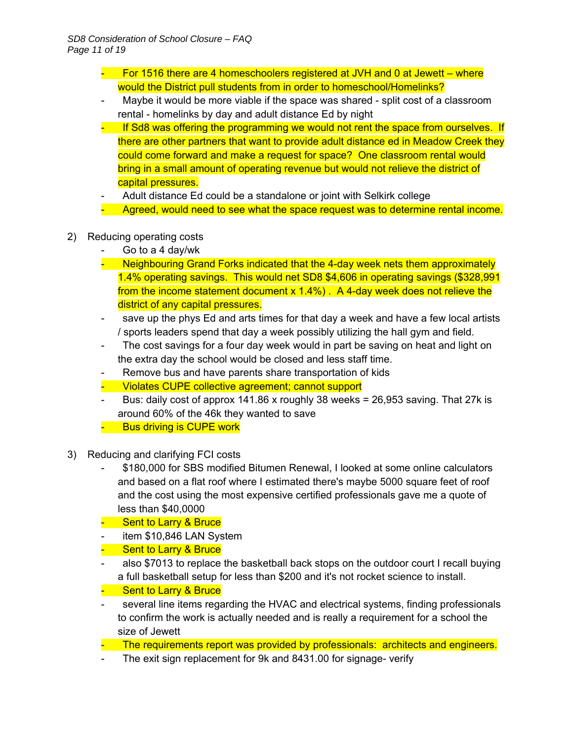- For 1516 there are 4 homeschoolers registered at JVH and 0 at Jewett where would the District pull students from in order to homeschool/Homelinks?
- Maybe it would be more viable if the space was shared split cost of a classroom rental - homelinks by day and adult distance Ed by night
- If Sd8 was offering the programming we would not rent the space from ourselves. If there are other partners that want to provide adult distance ed in Meadow Creek they could come forward and make a request for space? One classroom rental would bring in a small amount of operating revenue but would not relieve the district of capital pressures.
- Adult distance Ed could be a standalone or joint with Selkirk college
- Agreed, would need to see what the space request was to determine rental income.
- 2) Reducing operating costs
	- Go to a 4 day/wk
	- Neighbouring Grand Forks indicated that the 4-day week nets them approximately 1.4% operating savings. This would net SD8 \$4,606 in operating savings (\$328,991 from the income statement document x 1.4%). A 4-day week does not relieve the district of any capital pressures.
	- save up the phys Ed and arts times for that day a week and have a few local artists / sports leaders spend that day a week possibly utilizing the hall gym and field.
	- The cost savings for a four day week would in part be saving on heat and light on the extra day the school would be closed and less staff time.
	- Remove bus and have parents share transportation of kids
	- Violates CUPE collective agreement; cannot support
	- Bus: daily cost of approx  $141.86$  x roughly 38 weeks = 26,953 saving. That 27k is around 60% of the 46k they wanted to save
	- Bus driving is CUPE work
- 3) Reducing and clarifying FCI costs
	- \$180,000 for SBS modified Bitumen Renewal, I looked at some online calculators and based on a flat roof where I estimated there's maybe 5000 square feet of roof and the cost using the most expensive certified professionals gave me a quote of less than \$40,0000
	- Sent to Larry & Bruce
	- item \$10,846 LAN System
	- Sent to Larry & Bruce
	- also \$7013 to replace the basketball back stops on the outdoor court I recall buying a full basketball setup for less than \$200 and it's not rocket science to install.
	- Sent to Larry & Bruce
	- several line items regarding the HVAC and electrical systems, finding professionals to confirm the work is actually needed and is really a requirement for a school the size of Jewett
	- The requirements report was provided by professionals: architects and engineers.
	- The exit sign replacement for 9k and 8431.00 for signage- verify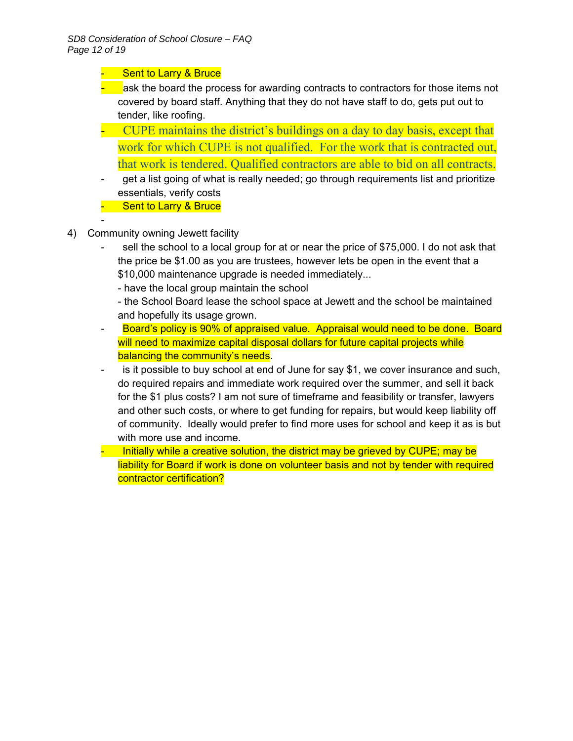#### - Sent to Larry & Bruce

- ask the board the process for awarding contracts to contractors for those items not covered by board staff. Anything that they do not have staff to do, gets put out to tender, like roofing.
- CUPE maintains the district's buildings on a day to day basis, except that work for which CUPE is not qualified. For the work that is contracted out, that work is tendered. Qualified contractors are able to bid on all contracts.
- get a list going of what is really needed; go through requirements list and prioritize essentials, verify costs
- **-** Sent to Larry & Bruce
- 

-

- 4) Community owning Jewett facility
	- sell the school to a local group for at or near the price of \$75,000. I do not ask that the price be \$1.00 as you are trustees, however lets be open in the event that a \$10,000 maintenance upgrade is needed immediately...
		- have the local group maintain the school

 - the School Board lease the school space at Jewett and the school be maintained and hopefully its usage grown.

- Board's policy is 90% of appraised value. Appraisal would need to be done. Board will need to maximize capital disposal dollars for future capital projects while balancing the community's needs.
- is it possible to buy school at end of June for say \$1, we cover insurance and such, do required repairs and immediate work required over the summer, and sell it back for the \$1 plus costs? I am not sure of timeframe and feasibility or transfer, lawyers and other such costs, or where to get funding for repairs, but would keep liability off of community. Ideally would prefer to find more uses for school and keep it as is but with more use and income.
- Initially while a creative solution, the district may be grieved by CUPE; may be liability for Board if work is done on volunteer basis and not by tender with required contractor certification?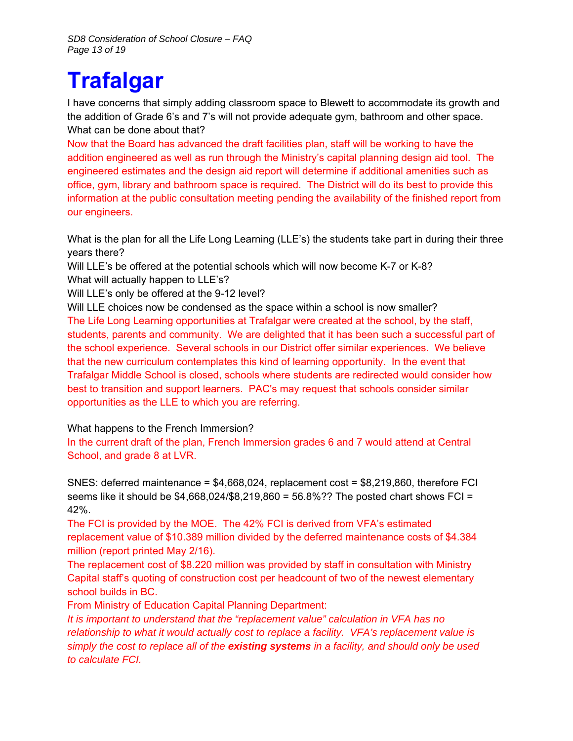# **Trafalgar**

I have concerns that simply adding classroom space to Blewett to accommodate its growth and the addition of Grade 6's and 7's will not provide adequate gym, bathroom and other space. What can be done about that?

Now that the Board has advanced the draft facilities plan, staff will be working to have the addition engineered as well as run through the Ministry's capital planning design aid tool. The engineered estimates and the design aid report will determine if additional amenities such as office, gym, library and bathroom space is required. The District will do its best to provide this information at the public consultation meeting pending the availability of the finished report from our engineers.

What is the plan for all the Life Long Learning (LLE's) the students take part in during their three years there?

Will LLE's be offered at the potential schools which will now become K-7 or K-8? What will actually happen to LLE's?

Will LLE's only be offered at the 9-12 level?

Will LLE choices now be condensed as the space within a school is now smaller? The Life Long Learning opportunities at Trafalgar were created at the school, by the staff, students, parents and community. We are delighted that it has been such a successful part of the school experience. Several schools in our District offer similar experiences. We believe that the new curriculum contemplates this kind of learning opportunity. In the event that Trafalgar Middle School is closed, schools where students are redirected would consider how best to transition and support learners. PAC's may request that schools consider similar opportunities as the LLE to which you are referring.

#### What happens to the French Immersion?

In the current draft of the plan, French Immersion grades 6 and 7 would attend at Central School, and grade 8 at LVR.

SNES: deferred maintenance = \$4,668,024, replacement cost = \$8,219,860, therefore FCI seems like it should be \$4,668,024/\$8,219,860 = 56.8%?? The posted chart shows FCI = 42%.

The FCI is provided by the MOE. The 42% FCI is derived from VFA's estimated replacement value of \$10.389 million divided by the deferred maintenance costs of \$4.384 million (report printed May 2/16).

The replacement cost of \$8.220 million was provided by staff in consultation with Ministry Capital staff's quoting of construction cost per headcount of two of the newest elementary school builds in BC.

From Ministry of Education Capital Planning Department:

*It is important to understand that the "replacement value" calculation in VFA has no relationship to what it would actually cost to replace a facility. VFA's replacement value is simply the cost to replace all of the existing systems in a facility, and should only be used to calculate FCI.*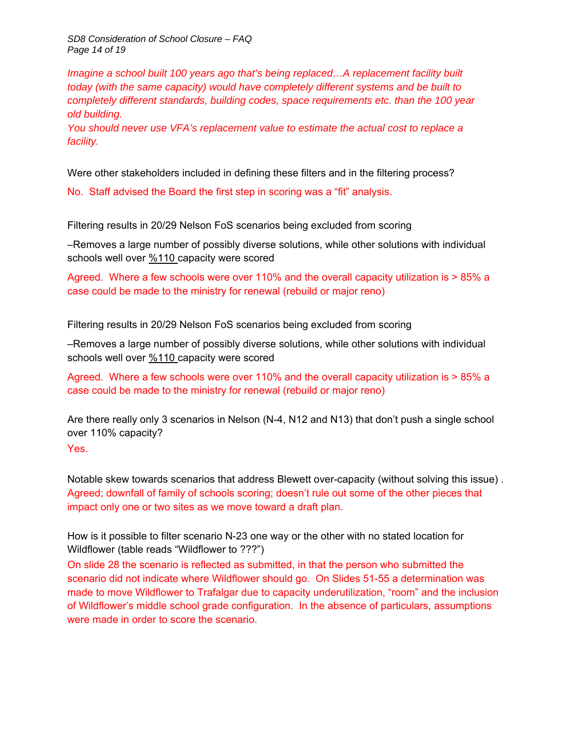*SD8 Consideration of School Closure – FAQ Page 14 of 19* 

*Imagine a school built 100 years ago that's being replaced...A replacement facility built today (with the same capacity) would have completely different systems and be built to completely different standards, building codes, space requirements etc. than the 100 year old building.* 

*You should never use VFA's replacement value to estimate the actual cost to replace a facility.*

Were other stakeholders included in defining these filters and in the filtering process?

No. Staff advised the Board the first step in scoring was a "fit" analysis.

Filtering results in 20/29 Nelson FoS scenarios being excluded from scoring

–Removes a large number of possibly diverse solutions, while other solutions with individual schools well over %110 capacity were scored

Agreed. Where a few schools were over 110% and the overall capacity utilization is > 85% a case could be made to the ministry for renewal (rebuild or major reno)

Filtering results in 20/29 Nelson FoS scenarios being excluded from scoring

–Removes a large number of possibly diverse solutions, while other solutions with individual schools well over %110 capacity were scored

Agreed. Where a few schools were over 110% and the overall capacity utilization is > 85% a case could be made to the ministry for renewal (rebuild or major reno)

Are there really only 3 scenarios in Nelson (N-4, N12 and N13) that don't push a single school over 110% capacity? Yes.

Notable skew towards scenarios that address Blewett over-capacity (without solving this issue) . Agreed; downfall of family of schools scoring; doesn't rule out some of the other pieces that impact only one or two sites as we move toward a draft plan.

How is it possible to filter scenario N-23 one way or the other with no stated location for Wildflower (table reads "Wildflower to ???")

On slide 28 the scenario is reflected as submitted, in that the person who submitted the scenario did not indicate where Wildflower should go. On Slides 51-55 a determination was made to move Wildflower to Trafalgar due to capacity underutilization, "room" and the inclusion of Wildflower's middle school grade configuration. In the absence of particulars, assumptions were made in order to score the scenario.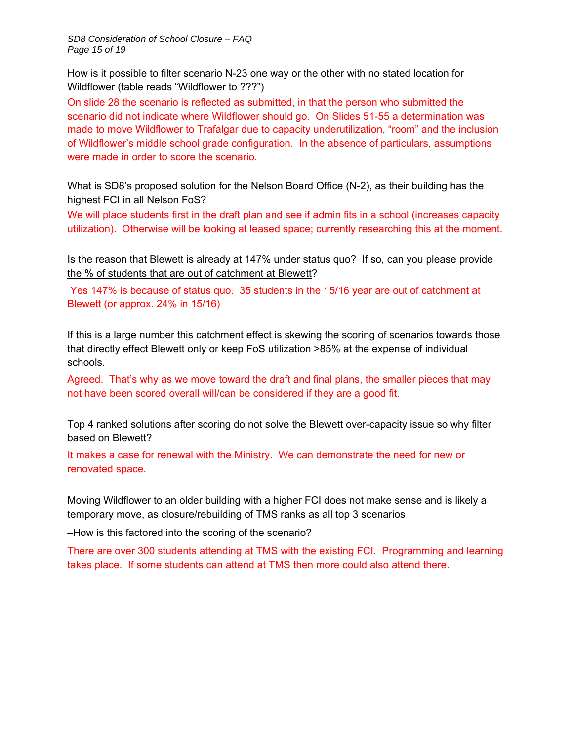*SD8 Consideration of School Closure – FAQ Page 15 of 19* 

How is it possible to filter scenario N-23 one way or the other with no stated location for Wildflower (table reads "Wildflower to ???")

On slide 28 the scenario is reflected as submitted, in that the person who submitted the scenario did not indicate where Wildflower should go. On Slides 51-55 a determination was made to move Wildflower to Trafalgar due to capacity underutilization, "room" and the inclusion of Wildflower's middle school grade configuration. In the absence of particulars, assumptions were made in order to score the scenario.

What is SD8's proposed solution for the Nelson Board Office (N-2), as their building has the highest FCI in all Nelson FoS?

We will place students first in the draft plan and see if admin fits in a school (increases capacity utilization). Otherwise will be looking at leased space; currently researching this at the moment.

Is the reason that Blewett is already at 147% under status quo? If so, can you please provide the % of students that are out of catchment at Blewett?

Yes 147% is because of status quo. 35 students in the 15/16 year are out of catchment at Blewett (or approx. 24% in 15/16)

If this is a large number this catchment effect is skewing the scoring of scenarios towards those that directly effect Blewett only or keep FoS utilization >85% at the expense of individual schools.

Agreed. That's why as we move toward the draft and final plans, the smaller pieces that may not have been scored overall will/can be considered if they are a good fit.

Top 4 ranked solutions after scoring do not solve the Blewett over-capacity issue so why filter based on Blewett?

It makes a case for renewal with the Ministry. We can demonstrate the need for new or renovated space.

Moving Wildflower to an older building with a higher FCI does not make sense and is likely a temporary move, as closure/rebuilding of TMS ranks as all top 3 scenarios

–How is this factored into the scoring of the scenario?

There are over 300 students attending at TMS with the existing FCI. Programming and learning takes place. If some students can attend at TMS then more could also attend there.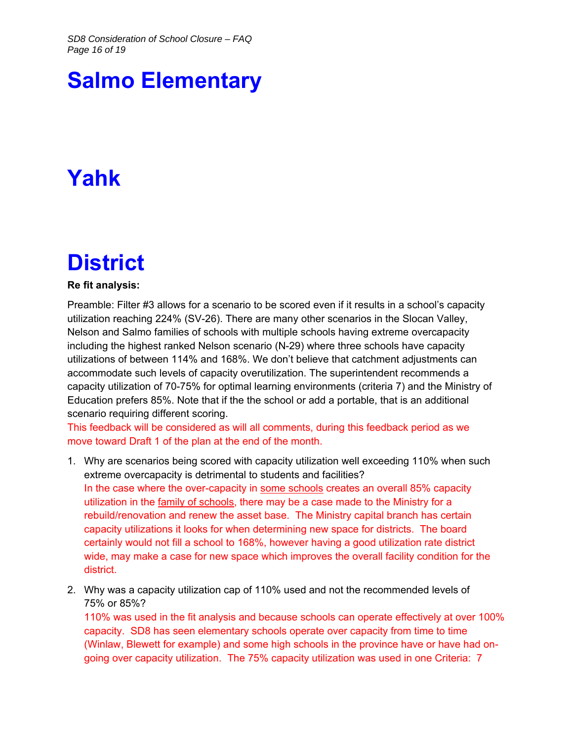# **Salmo Elementary**

# **Yahk**

## **District**

#### **Re fit analysis:**

Preamble: Filter #3 allows for a scenario to be scored even if it results in a school's capacity utilization reaching 224% (SV-26). There are many other scenarios in the Slocan Valley, Nelson and Salmo families of schools with multiple schools having extreme overcapacity including the highest ranked Nelson scenario (N-29) where three schools have capacity utilizations of between 114% and 168%. We don't believe that catchment adjustments can accommodate such levels of capacity overutilization. The superintendent recommends a capacity utilization of 70-75% for optimal learning environments (criteria 7) and the Ministry of Education prefers 85%. Note that if the the school or add a portable, that is an additional scenario requiring different scoring.

This feedback will be considered as will all comments, during this feedback period as we move toward Draft 1 of the plan at the end of the month.

- 1. Why are scenarios being scored with capacity utilization well exceeding 110% when such extreme overcapacity is detrimental to students and facilities? In the case where the over-capacity in some schools creates an overall 85% capacity utilization in the family of schools, there may be a case made to the Ministry for a rebuild/renovation and renew the asset base. The Ministry capital branch has certain capacity utilizations it looks for when determining new space for districts. The board certainly would not fill a school to 168%, however having a good utilization rate district wide, may make a case for new space which improves the overall facility condition for the district.
- 2. Why was a capacity utilization cap of 110% used and not the recommended levels of 75% or 85%?

110% was used in the fit analysis and because schools can operate effectively at over 100% capacity. SD8 has seen elementary schools operate over capacity from time to time (Winlaw, Blewett for example) and some high schools in the province have or have had ongoing over capacity utilization. The 75% capacity utilization was used in one Criteria: 7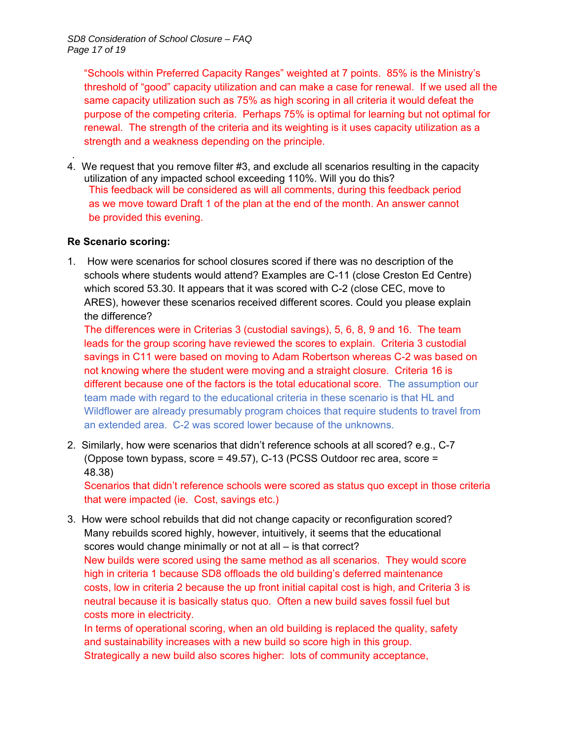"Schools within Preferred Capacity Ranges" weighted at 7 points. 85% is the Ministry's threshold of "good" capacity utilization and can make a case for renewal. If we used all the same capacity utilization such as 75% as high scoring in all criteria it would defeat the purpose of the competing criteria. Perhaps 75% is optimal for learning but not optimal for renewal. The strength of the criteria and its weighting is it uses capacity utilization as a strength and a weakness depending on the principle.

. 4. We request that you remove filter #3, and exclude all scenarios resulting in the capacity utilization of any impacted school exceeding 110%. Will you do this? This feedback will be considered as will all comments, during this feedback period as we move toward Draft 1 of the plan at the end of the month. An answer cannot be provided this evening.

#### **Re Scenario scoring:**

1. How were scenarios for school closures scored if there was no description of the schools where students would attend? Examples are C-11 (close Creston Ed Centre) which scored 53.30. It appears that it was scored with C-2 (close CEC, move to ARES), however these scenarios received different scores. Could you please explain the difference?

The differences were in Criterias 3 (custodial savings), 5, 6, 8, 9 and 16. The team leads for the group scoring have reviewed the scores to explain. Criteria 3 custodial savings in C11 were based on moving to Adam Robertson whereas C-2 was based on not knowing where the student were moving and a straight closure. Criteria 16 is different because one of the factors is the total educational score. The assumption our team made with regard to the educational criteria in these scenario is that HL and Wildflower are already presumably program choices that require students to travel from an extended area. C-2 was scored lower because of the unknowns.

2. Similarly, how were scenarios that didn't reference schools at all scored? e.g., C-7 (Oppose town bypass, score = 49.57), C-13 (PCSS Outdoor rec area, score = 48.38)

Scenarios that didn't reference schools were scored as status quo except in those criteria that were impacted (ie. Cost, savings etc.)

3. How were school rebuilds that did not change capacity or reconfiguration scored? Many rebuilds scored highly, however, intuitively, it seems that the educational scores would change minimally or not at all – is that correct? New builds were scored using the same method as all scenarios. They would score high in criteria 1 because SD8 offloads the old building's deferred maintenance costs, low in criteria 2 because the up front initial capital cost is high, and Criteria 3 is neutral because it is basically status quo. Often a new build saves fossil fuel but costs more in electricity.

In terms of operational scoring, when an old building is replaced the quality, safety and sustainability increases with a new build so score high in this group. Strategically a new build also scores higher: lots of community acceptance,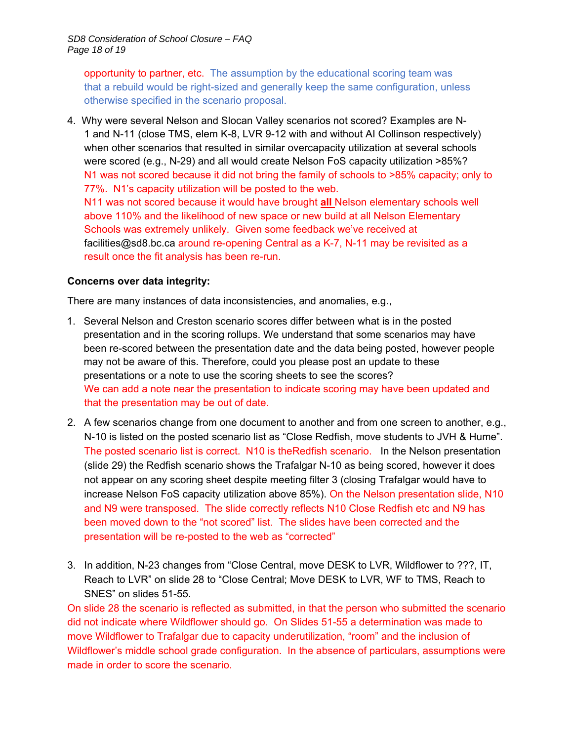opportunity to partner, etc. The assumption by the educational scoring team was that a rebuild would be right-sized and generally keep the same configuration, unless otherwise specified in the scenario proposal.

4. Why were several Nelson and Slocan Valley scenarios not scored? Examples are N-1 and N-11 (close TMS, elem K-8, LVR 9-12 with and without AI Collinson respectively) when other scenarios that resulted in similar overcapacity utilization at several schools were scored (e.g., N-29) and all would create Nelson FoS capacity utilization >85%? N1 was not scored because it did not bring the family of schools to >85% capacity; only to 77%. N1's capacity utilization will be posted to the web. N11 was not scored because it would have brought **all** Nelson elementary schools well above 110% and the likelihood of new space or new build at all Nelson Elementary Schools was extremely unlikely. Given some feedback we've received at

facilities@sd8.bc.ca around re-opening Central as a K-7, N-11 may be revisited as a result once the fit analysis has been re-run.

#### **Concerns over data integrity:**

There are many instances of data inconsistencies, and anomalies, e.g.,

- 1. Several Nelson and Creston scenario scores differ between what is in the posted presentation and in the scoring rollups. We understand that some scenarios may have been re-scored between the presentation date and the data being posted, however people may not be aware of this. Therefore, could you please post an update to these presentations or a note to use the scoring sheets to see the scores? We can add a note near the presentation to indicate scoring may have been updated and that the presentation may be out of date.
- 2. A few scenarios change from one document to another and from one screen to another, e.g., N-10 is listed on the posted scenario list as "Close Redfish, move students to JVH & Hume". The posted scenario list is correct. N10 is theRedfish scenario. In the Nelson presentation (slide 29) the Redfish scenario shows the Trafalgar N-10 as being scored, however it does not appear on any scoring sheet despite meeting filter 3 (closing Trafalgar would have to increase Nelson FoS capacity utilization above 85%). On the Nelson presentation slide, N10 and N9 were transposed. The slide correctly reflects N10 Close Redfish etc and N9 has been moved down to the "not scored" list. The slides have been corrected and the presentation will be re-posted to the web as "corrected"
- 3. In addition, N-23 changes from "Close Central, move DESK to LVR, Wildflower to ???, IT, Reach to LVR" on slide 28 to "Close Central; Move DESK to LVR, WF to TMS, Reach to SNES" on slides 51-55.

On slide 28 the scenario is reflected as submitted, in that the person who submitted the scenario did not indicate where Wildflower should go. On Slides 51-55 a determination was made to move Wildflower to Trafalgar due to capacity underutilization, "room" and the inclusion of Wildflower's middle school grade configuration. In the absence of particulars, assumptions were made in order to score the scenario.